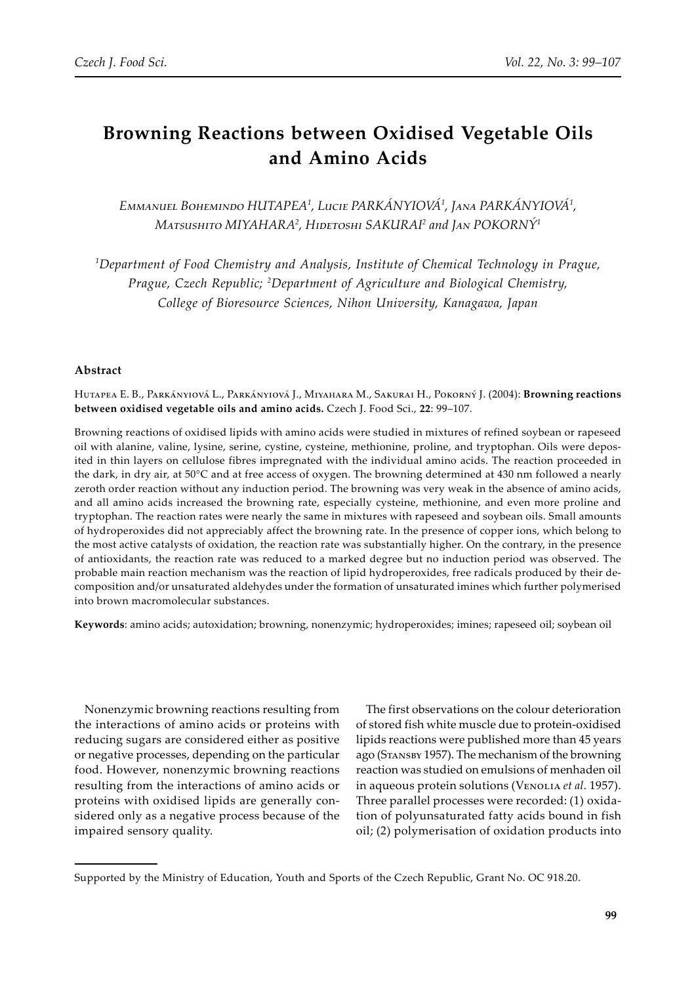# **Browning Reactions between Oxidised Vegetable Oils and Amino Acids**

Emmanuel Bohemindo HUTAPEA<sup>1</sup>, Lucie PARKÁNYIOVÁ<sup>1</sup>, Jana PARKÁNYIOVÁ<sup>1</sup>, Matsusнito MIYAHARA<sup>2</sup>, Hidetosнi SAKURAI<sup>2</sup> and Jan POKORNÝ<sup>1</sup>

*1 Department of Food Chemistry and Analysis, Institute of Chemical Technology in Prague, Prague, Czech Republic; 2 Department of Agriculture and Biological Chemistry, College of Bioresource Sciences, Nihon University, Kanagawa, Japan*

#### **Abstract**

HUTAPEA E. B., PARKÁNYIOVÁ L., PARKÁNYIOVÁ J., MIYAHARA M., SAKURAI H., POKORNÝ J. (2004): **Browning reactions between oxidised vegetable oils and amino acids.** Czech J. Food Sci., **22**: 99–107.

Browning reactions of oxidised lipids with amino acids were studied in mixtures of refined soybean or rapeseed oil with alanine, valine, lysine, serine, cystine, cysteine, methionine, proline, and tryptophan. Oils were deposited in thin layers on cellulose fibres impregnated with the individual amino acids. The reaction proceeded in the dark, in dry air, at 50°C and at free access of oxygen. The browning determined at 430 nm followed a nearly zeroth order reaction without any induction period. The browning was very weak in the absence of amino acids, and all amino acids increased the browning rate, especially cysteine, methionine, and even more proline and tryptophan. The reaction rates were nearly the same in mixtures with rapeseed and soybean oils. Small amounts of hydroperoxides did not appreciably affect the browning rate. In the presence of copper ions, which belong to the most active catalysts of oxidation, the reaction rate was substantially higher. On the contrary, in the presence of antioxidants, the reaction rate was reduced to a marked degree but no induction period was observed. The probable main reaction mechanism was the reaction of lipid hydroperoxides, free radicals produced by their decomposition and/or unsaturated aldehydes under the formation of unsaturated imines which further polymerised into brown macromolecular substances.

**Keywords**: amino acids; autoxidation; browning, nonenzymic; hydroperoxides; imines; rapeseed oil; soybean oil

Nonenzymic browning reactions resulting from the interactions of amino acids or proteins with reducing sugars are considered either as positive or negative processes, depending on the particular food. However, nonenzymic browning reactions resulting from the interactions of amino acids or proteins with oxidised lipids are generally considered only as a negative process because of the impaired sensory quality.

The first observations on the colour deterioration of stored fish white muscle due to protein-oxidised lipids reactions were published more than 45 years ago (STANSBY 1957). The mechanism of the browning reaction was studied on emulsions of menhaden oil in aqueous protein solutions (VENOLIA et al. 1957). Three parallel processes were recorded: (1) oxidation of polyunsaturated fatty acids bound in fish oil; (2) polymerisation of oxidation products into

Supported by the Ministry of Education, Youth and Sports of the Czech Republic, Grant No. OC 918.20.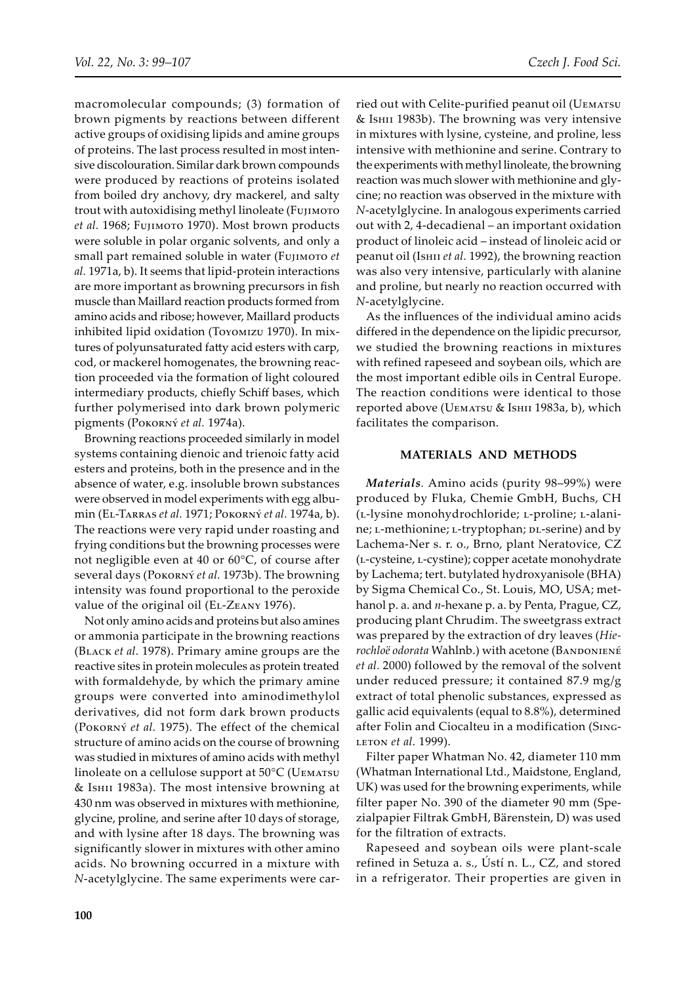macromolecular compounds; (3) formation of brown pigments by reactions between different active groups of oxidising lipids and amine groups of proteins. The last process resulted in most intensive discolouration. Similar dark brown compounds were produced by reactions of proteins isolated from boiled dry anchovy, dry mackerel, and salty trout with autoxidising methyl linoleate (FUJIMOTO et al. 1968; Fujimoro 1970). Most brown products were soluble in polar organic solvents, and only a small part remained soluble in water (FUJIMOTO et *al.* 1971a, b). It seems that lipid-protein interactions are more important as browning precursors in fish muscle than Maillard reaction products formed from amino acids and ribose; however, Maillard products inhibited lipid oxidation (Toyomizu 1970). In mixtures of polyunsaturated fatty acid esters with carp, cod, or mackerel homogenates, the browning reaction proceeded via the formation of light coloured intermediary products, chiefly Schiff bases, which further polymerised into dark brown polymeric pigments (Pokorný et al. 1974a).

Browning reactions proceeded similarly in model systems containing dienoic and trienoic fatty acid esters and proteins, both in the presence and in the absence of water, e.g. insoluble brown substances were observed in model experiments with egg albumin (EL-TARRAS et al. 1971; POKORNÝ et al. 1974a, b). The reactions were very rapid under roasting and frying conditions but the browning processes were not negligible even at 40 or 60°C, of course after several days (Pokorný et al. 1973b). The browning intensity was found proportional to the peroxide value of the original oil (EL-ZEANY 1976).

Not only amino acids and proteins but also amines or ammonia participate in the browning reactions (BLACK et al. 1978). Primary amine groups are the reactive sites in protein molecules as protein treated with formaldehyde, by which the primary amine groups were converted into aminodimethylol derivatives, did not form dark brown products (POKORNÝ et al. 1975). The effect of the chemical structure of amino acids on the course of browning was studied in mixtures of amino acids with methyl linoleate on a cellulose support at  $50^{\circ}$ C (UEMATSU & Isни 1983a). The most intensive browning at 430 nm was observed in mixtures with methionine, glycine, proline, and serine after 10 days of storage, and with lysine after 18 days. The browning was significantly slower in mixtures with other amino acids. No browning occurred in a mixture with *N*-acetylglycine. The same experiments were car-

ried out with Celite-purified peanut oil (UEMATSU & Isни 1983b). The browning was very intensive in mixtures with lysine, cysteine, and proline, less intensive with methionine and serine. Contrary to the experiments with methyl linoleate, the browning reaction was much slower with methionine and glycine; no reaction was observed in the mixture with *N*-acetylglycine. In analogous experiments carried out with 2, 4-decadienal – an important oxidation product of linoleic acid – instead of linoleic acid or peanut oil (Isни et al. 1992), the browning reaction was also very intensive, particularly with alanine and proline, but nearly no reaction occurred with *N*-acetylglycine.

As the influences of the individual amino acids differed in the dependence on the lipidic precursor, we studied the browning reactions in mixtures with refined rapeseed and soybean oils, which are the most important edible oils in Central Europe. The reaction conditions were identical to those reported above (UEMATSU & ISHII 1983a, b), which facilitates the comparison.

#### **MATERIALS AND METHODS**

*Materials.* Amino acids (purity 98–99%) were produced by Fluka, Chemie GmbH, Buchs, CH (�-lysine monohydrochloride; �-proline; �-alanine; L-methionine; L-tryptophan; pL-serine) and by Lachema-Ner s. r. o., Brno, plant Neratovice, CZ (�-cysteine, �-cystine); copper acetate monohydrate by Lachema; tert. butylated hydroxyanisole (BHA) by Sigma Chemical Co., St. Louis, MO, USA; methanol p. a. and *n*-hexane p. a. by Penta, Prague, CZ, producing plant Chrudim. The sweetgrass extract was prepared by the extraction of dry leaves (*Hie*rochloë odorata Wahlnb.) with acetone (BANDONIENÉ *et al.* 2000) followed by the removal of the solvent under reduced pressure; it contained 87.9 mg/g extract of total phenolic substances, expressed as gallic acid equivalents (equal to 8.8%), determined after Folin and Ciocalteu in a modification (SING-LETON et al. 1999).

Filter paper Whatman No. 42, diameter 110 mm (Whatman International Ltd., Maidstone, England, UK) was used for the browning experiments, while filter paper No. 390 of the diameter 90 mm (Spezialpapier Filtrak GmbH, Bärenstein, D) was used for the filtration of extracts.

Rapeseed and soybean oils were plant-scale refined in Setuza a. s., Ústí n. L., CZ, and stored in a refrigerator. Their properties are given in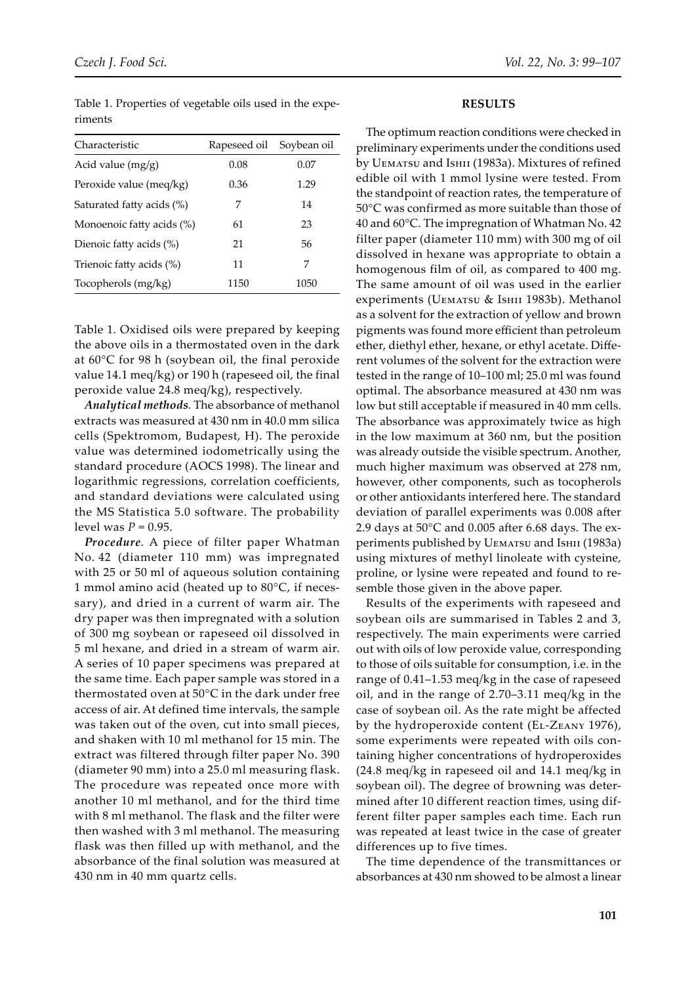| Characteristic            | Rapeseed oil | Soybean oil |
|---------------------------|--------------|-------------|
| Acid value $(mg/g)$       | 0.08         | 0.07        |
| Peroxide value (meg/kg)   | 0.36         | 1.29        |
| Saturated fatty acids (%) | 7            | 14          |
| Monoenoic fatty acids (%) | 61           | 23          |
| Dienoic fatty acids (%)   | 21           | 56          |
| Trienoic fatty acids (%)  | 11           | 7           |
| Tocopherols (mg/kg)       | 1150         | 1050        |

Table 1. Properties of vegetable oils used in the experiments

Table 1. Oxidised oils were prepared by keeping the above oils in a thermostated oven in the dark at 60°C for 98 h (soybean oil, the final peroxide value 14.1 meq/kg) or 190 h (rapeseed oil, the final peroxide value 24.8 meq/kg), respectively.

*Analytical methods.* The absorbance of methanol extracts was measured at 430 nm in 40.0 mm silica cells (Spektromom, Budapest, H). The peroxide value was determined iodometrically using the standard procedure (AOCS 1998). The linear and logarithmic regressions, correlation coefficients, and standard deviations were calculated using the MS Statistica 5.0 software. The probability level was  $P = 0.95$ .

*Procedure.* A piece of filter paper Whatman No. 42 (diameter 110 mm) was impregnated with 25 or 50 ml of aqueous solution containing 1 mmol amino acid (heated up to 80°C, if necessary), and dried in a current of warm air. The dry paper was then impregnated with a solution of 300 mg soybean or rapeseed oil dissolved in 5 ml hexane, and dried in a stream of warm air. A series of 10 paper specimens was prepared at the same time. Each paper sample was stored in a thermostated oven at 50°C in the dark under free access of air. At defined time intervals, the sample was taken out of the oven, cut into small pieces, and shaken with 10 ml methanol for 15 min. The extract was filtered through filter paper No. 390 (diameter 90 mm) into a 25.0 ml measuring flask. The procedure was repeated once more with another 10 ml methanol, and for the third time with 8 ml methanol. The flask and the filter were then washed with 3 ml methanol. The measuring flask was then filled up with methanol, and the absorbance of the final solution was measured at 430 nm in 40 mm quartz cells.

### **RESULTS**

The optimum reaction conditions were checked in preliminary experiments under the conditions used by UEMATSU and ISHII (1983a). Mixtures of refined edible oil with 1 mmol lysine were tested. From the standpoint of reaction rates, the temperature of 50°C was confirmed as more suitable than those of 40 and 60°C. The impregnation of Whatman No. 42 filter paper (diameter 110 mm) with 300 mg of oil dissolved in hexane was appropriate to obtain a homogenous film of oil, as compared to 400 mg. The same amount of oil was used in the earlier experiments (UEMATSU & ISHII 1983b). Methanol as a solvent for the extraction of yellow and brown pigments was found more efficient than petroleum ether, diethyl ether, hexane, or ethyl acetate. Different volumes of the solvent for the extraction were tested in the range of 10–100 ml; 25.0 ml was found optimal. The absorbance measured at 430 nm was low but still acceptable if measured in 40 mm cells. The absorbance was approximately twice as high in the low maximum at 360 nm, but the position was already outside the visible spectrum. Another, much higher maximum was observed at 278 nm, however, other components, such as tocopherols or other antioxidants interfered here. The standard deviation of parallel experiments was 0.008 after 2.9 days at  $50^{\circ}$ C and 0.005 after 6.68 days. The experiments published by UEMATSU and ISHII (1983a) using mixtures of methyl linoleate with cysteine, proline, or lysine were repeated and found to resemble those given in the above paper.

Results of the experiments with rapeseed and soybean oils are summarised in Tables 2 and 3, respectively. The main experiments were carried out with oils of low peroxide value, corresponding to those of oils suitable for consumption, i.e. in the range of 0.41–1.53 meq/kg in the case of rapeseed oil, and in the range of 2.70–3.11 meq/kg in the case of soybean oil. As the rate might be affected by the hydroperoxide content (EL-ZEANY 1976), some experiments were repeated with oils containing higher concentrations of hydroperoxides (24.8 meq/kg in rapeseed oil and 14.1 meq/kg in soybean oil). The degree of browning was determined after 10 different reaction times, using different filter paper samples each time. Each run was repeated at least twice in the case of greater differences up to five times.

The time dependence of the transmittances or absorbances at 430 nm showed to be almost a linear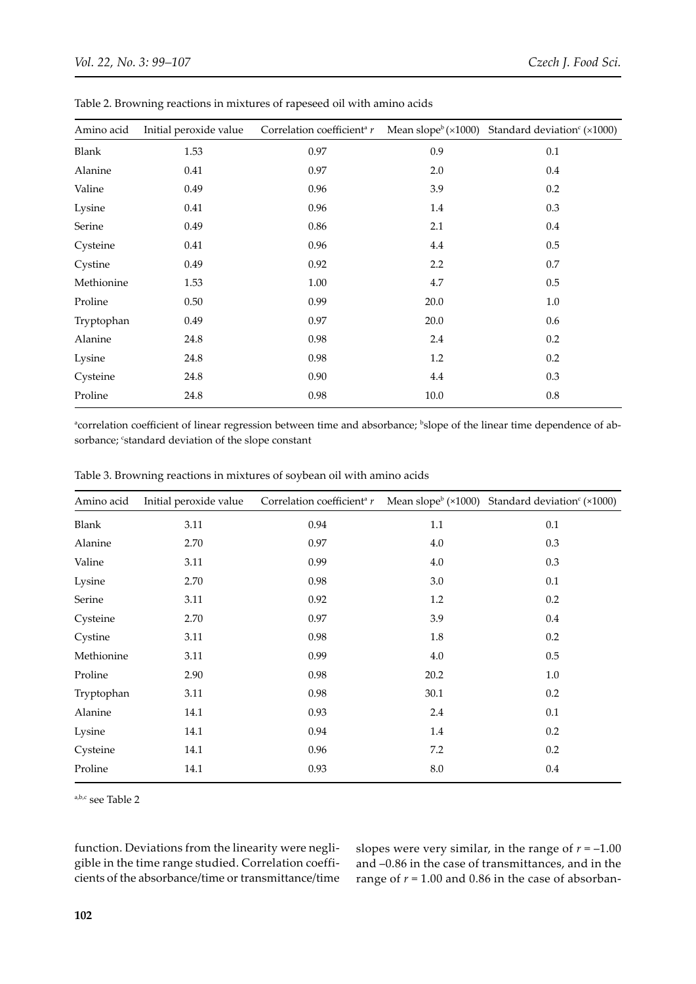| Amino acid | Initial peroxide value |      |      | Correlation coefficient <sup>a</sup> r Mean slope <sup>b</sup> ( $\times$ 1000) Standard deviation <sup>c</sup> ( $\times$ 1000) |
|------------|------------------------|------|------|----------------------------------------------------------------------------------------------------------------------------------|
| Blank      | 1.53                   | 0.97 | 0.9  | 0.1                                                                                                                              |
| Alanine    | 0.41                   | 0.97 | 2.0  | 0.4                                                                                                                              |
| Valine     | 0.49                   | 0.96 | 3.9  | 0.2                                                                                                                              |
| Lysine     | 0.41                   | 0.96 | 1.4  | 0.3                                                                                                                              |
| Serine     | 0.49                   | 0.86 | 2.1  | 0.4                                                                                                                              |
| Cysteine   | 0.41                   | 0.96 | 4.4  | 0.5                                                                                                                              |
| Cystine    | 0.49                   | 0.92 | 2.2  | $0.7\,$                                                                                                                          |
| Methionine | 1.53                   | 1.00 | 4.7  | 0.5                                                                                                                              |
| Proline    | 0.50                   | 0.99 | 20.0 | 1.0                                                                                                                              |
| Tryptophan | 0.49                   | 0.97 | 20.0 | 0.6                                                                                                                              |
| Alanine    | 24.8                   | 0.98 | 2.4  | 0.2                                                                                                                              |
| Lysine     | 24.8                   | 0.98 | 1.2  | 0.2                                                                                                                              |
| Cysteine   | 24.8                   | 0.90 | 4.4  | 0.3                                                                                                                              |
| Proline    | 24.8                   | 0.98 | 10.0 | $0.8\,$                                                                                                                          |

Table 2. Browning reactions in mixtures of rapeseed oil with amino acids

<sup>a</sup>correlation coefficient of linear regression between time and absorbance; <sup>b</sup>slope of the linear time dependence of absorbance; 'standard deviation of the slope constant

| Amino acid | Initial peroxide value |      |         | Correlation coefficient <sup>a</sup> $r$ Mean slope <sup>b</sup> (×1000) Standard deviation <sup>c</sup> (×1000) |
|------------|------------------------|------|---------|------------------------------------------------------------------------------------------------------------------|
| Blank      | 3.11                   | 0.94 | 1.1     | 0.1                                                                                                              |
| Alanine    | 2.70                   | 0.97 | 4.0     | 0.3                                                                                                              |
| Valine     | 3.11                   | 0.99 | 4.0     | 0.3                                                                                                              |
| Lysine     | 2.70                   | 0.98 | 3.0     | 0.1                                                                                                              |
| Serine     | 3.11                   | 0.92 | 1.2     | 0.2                                                                                                              |
| Cysteine   | 2.70                   | 0.97 | 3.9     | $0.4\,$                                                                                                          |
| Cystine    | 3.11                   | 0.98 | 1.8     | 0.2                                                                                                              |
| Methionine | 3.11                   | 0.99 | 4.0     | $0.5\,$                                                                                                          |
| Proline    | 2.90                   | 0.98 | 20.2    | 1.0                                                                                                              |
| Tryptophan | 3.11                   | 0.98 | 30.1    | 0.2                                                                                                              |
| Alanine    | 14.1                   | 0.93 | 2.4     | 0.1                                                                                                              |
| Lysine     | 14.1                   | 0.94 | 1.4     | 0.2                                                                                                              |
| Cysteine   | 14.1                   | 0.96 | 7.2     | 0.2                                                                                                              |
| Proline    | 14.1                   | 0.93 | $8.0\,$ | $0.4\,$                                                                                                          |

Table 3. Browning reactions in mixtures of soybean oil with amino acids

a,b,c see Table 2

function. Deviations from the linearity were negligible in the time range studied. Correlation coefficients of the absorbance/time or transmittance/time

slopes were very similar, in the range of  $r = -1.00$ and –0.86 in the case of transmittances, and in the range of  $r = 1.00$  and 0.86 in the case of absorban-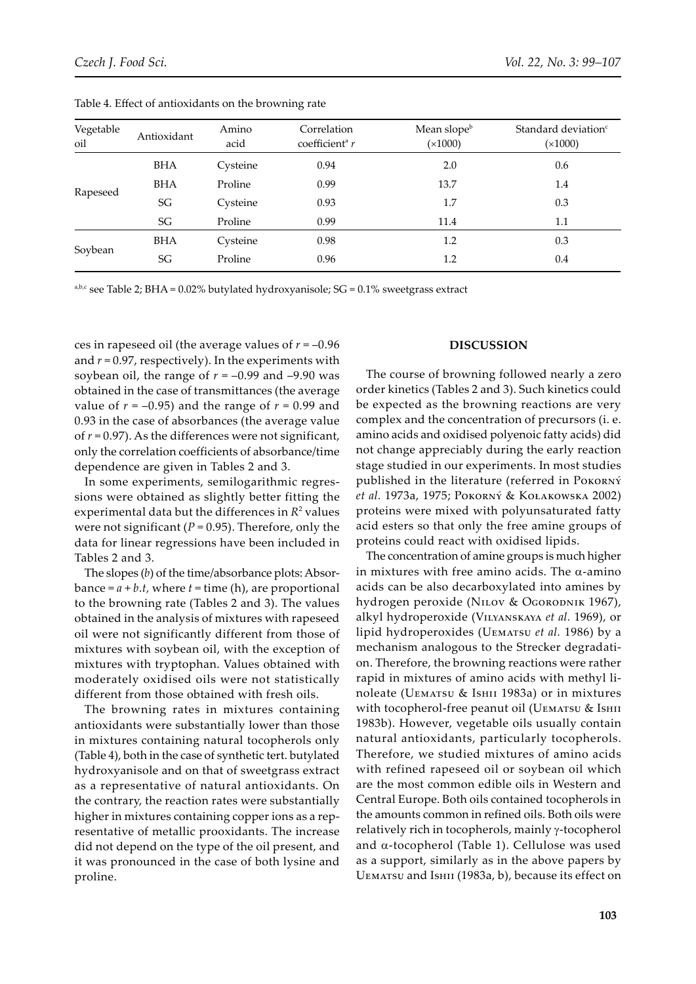| Vegetable<br>oil | Antioxidant | Amino<br>acid | Correlation<br>coefficient <sup>a</sup> r | Mean slopeb<br>(x1000) | Standard deviation <sup>c</sup><br>(x1000) |
|------------------|-------------|---------------|-------------------------------------------|------------------------|--------------------------------------------|
| Rapeseed         | <b>BHA</b>  | Cysteine      | 0.94                                      | 2.0                    | 0.6                                        |
|                  | <b>BHA</b>  | Proline       | 0.99                                      | 13.7                   | 1.4                                        |
|                  | SG          | Cysteine      | 0.93                                      | 1.7                    | 0.3                                        |
|                  | SG          | Proline       | 0.99                                      | 11.4                   | 1.1                                        |
| Soybean          | <b>BHA</b>  | Cysteine      | 0.98                                      | 1.2                    | 0.3                                        |
|                  | SG          | Proline       | 0.96                                      | 1.2                    | 0.4                                        |

Table 4. Effect of antioxidants on the browning rate

 $a,b,c$  see Table 2; BHA = 0.02% butylated hydroxyanisole; SG = 0.1% sweetgrass extract

ces in rapeseed oil (the average values of  $r = -0.96$ and  $r = 0.97$ , respectively). In the experiments with soybean oil, the range of  $r = -0.99$  and  $-9.90$  was obtained in the case of transmittances (the average value of  $r = -0.95$ ) and the range of  $r = 0.99$  and 0.93 in the case of absorbances (the average value of  $r = 0.97$ ). As the differences were not significant, only the correlation coefficients of absorbance/time dependence are given in Tables 2 and 3.

In some experiments, semilogarithmic regressions were obtained as slightly better fitting the experimental data but the differences in  $R<sup>2</sup>$  values were not significant ( $P = 0.95$ ). Therefore, only the data for linear regressions have been included in Tables 2 and 3.

The slopes (*b*) of the time/absorbance plots: Absorbance =  $a + b$ .*t*, where  $t =$  time (h), are proportional to the browning rate (Tables 2 and 3). The values obtained in the analysis of mixtures with rapeseed oil were not significantly different from those of mixtures with soybean oil, with the exception of mixtures with tryptophan. Values obtained with moderately oxidised oils were not statistically different from those obtained with fresh oils.

The browning rates in mixtures containing antioxidants were substantially lower than those in mixtures containing natural tocopherols only (Table 4), both in the case of synthetic tert. butylated hydroxyanisole and on that of sweetgrass extract as a representative of natural antioxidants. On the contrary, the reaction rates were substantially higher in mixtures containing copper ions as a representative of metallic prooxidants. The increase did not depend on the type of the oil present, and it was pronounced in the case of both lysine and proline.

### **DISCUSSION**

The course of browning followed nearly a zero order kinetics (Tables 2 and 3). Such kinetics could be expected as the browning reactions are very complex and the concentration of precursors (i. e. amino acids and oxidised polyenoic fatty acids) did not change appreciably during the early reaction stage studied in our experiments. In most studies published in the literature (referred in POKORNÝ *et al.* 1973а, 1975; Роковну & Коьакомска 2002) proteins were mixed with polyunsaturated fatty acid esters so that only the free amine groups of proteins could react with oxidised lipids.

The concentration of amine groups is much higher in mixtures with free amino acids. The  $\alpha$ -amino acids can be also decarboxylated into amines by hydrogen peroxide (NILOV & OGORODNIK 1967), alkyl hydroperoxide (VILYANSKAYA et al. 1969), or lipid hydroperoxides (UEMATSU et al. 1986) by a mechanism analogous to the Strecker degradation. Therefore, the browning reactions were rather rapid in mixtures of amino acids with methyl linoleate (UEMATSU & ISHII 1983a) or in mixtures with tocopherol-free peanut oil (UEMATSU & ISHII 1983b). However, vegetable oils usually contain natural antioxidants, particularly tocopherols. Therefore, we studied mixtures of amino acids with refined rapeseed oil or soybean oil which are the most common edible oils in Western and Central Europe. Both oils contained tocopherols in the amounts common in refined oils. Both oils were relatively rich in tocopherols, mainly γ-tocopherol and α-tocopherol (Table 1). Cellulose was used as a support, similarly as in the above papers by UEMATSU and ISHII (1983a, b), because its effect on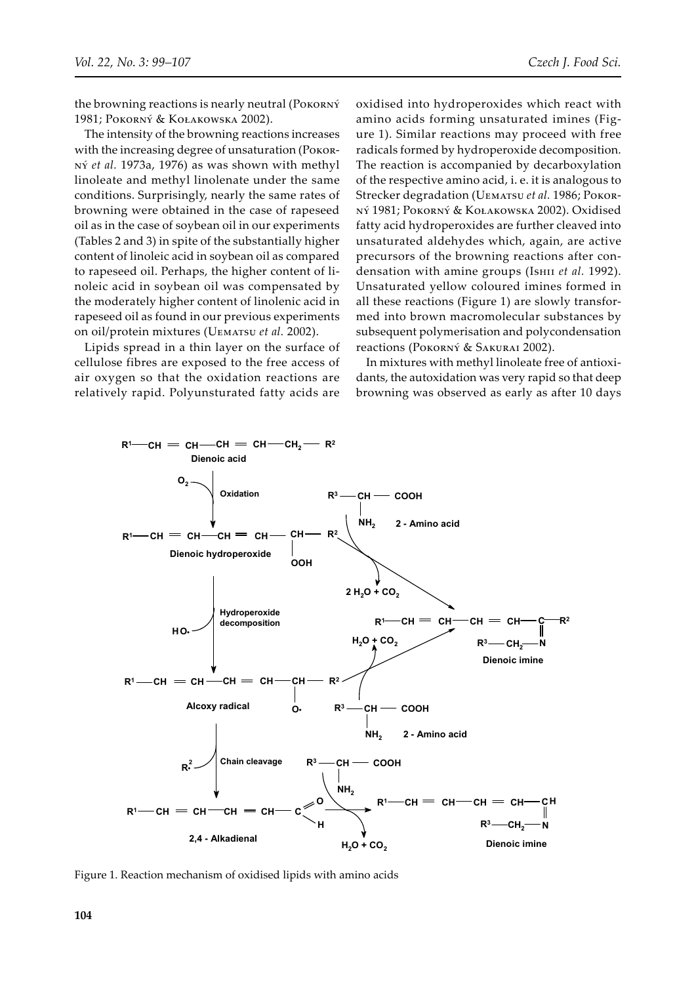the browning reactions is nearly neutral (POKORNÝ 1981; Pokorný & Kołakowska 2002).

The intensity of the browning reactions increases with the increasing degree of unsaturation (POKOR-�� *et al.* 1973a, 1976) as was shown with methyl linoleate and methyl linolenate under the same conditions. Surprisingly, nearly the same rates of browning were obtained in the case of rapeseed oil as in the case of soybean oil in our experiments (Tables 2 and 3) in spite of the substantially higher content of linoleic acid in soybean oil as compared to rapeseed oil. Perhaps, the higher content of linoleic acid in soybean oil was compensated by the moderately higher content of linolenic acid in rapeseed oil as found in our previous experiments on oil/protein mixtures (UEMATSU et al. 2002).

Lipids spread in a thin layer on the surface of cellulose fibres are exposed to the free access of air oxygen so that the oxidation reactions are relatively rapid. Polyunsturated fatty acids are

oxidised into hydroperoxides which react with amino acids forming unsaturated imines (Figure 1). Similar reactions may proceed with free radicals formed by hydroperoxide decomposition. The reaction is accompanied by decarboxylation of the respective amino acid, i. e. it is analogous to Strecker degradation (UEMATSU et al. 1986; POKOR-NÝ 1981; POKORNÝ & KOŁAKOWSKA 2002). Oxidised fatty acid hydroperoxides are further cleaved into unsaturated aldehydes which, again, are active precursors of the browning reactions after condensation with amine groups (Ishin et al. 1992). Unsaturated yellow coloured imines formed in all these reactions (Figure 1) are slowly transformed into brown macromolecular substances by subsequent polymerisation and polycondensation reactions (POKORNÝ & SAKURAI 2002).

In mixtures with methyl linoleate free of antioxidants, the autoxidation was very rapid so that deep browning was observed as early as after 10 days



Figure 1. Reaction mechanism of oxidised lipids with amino acids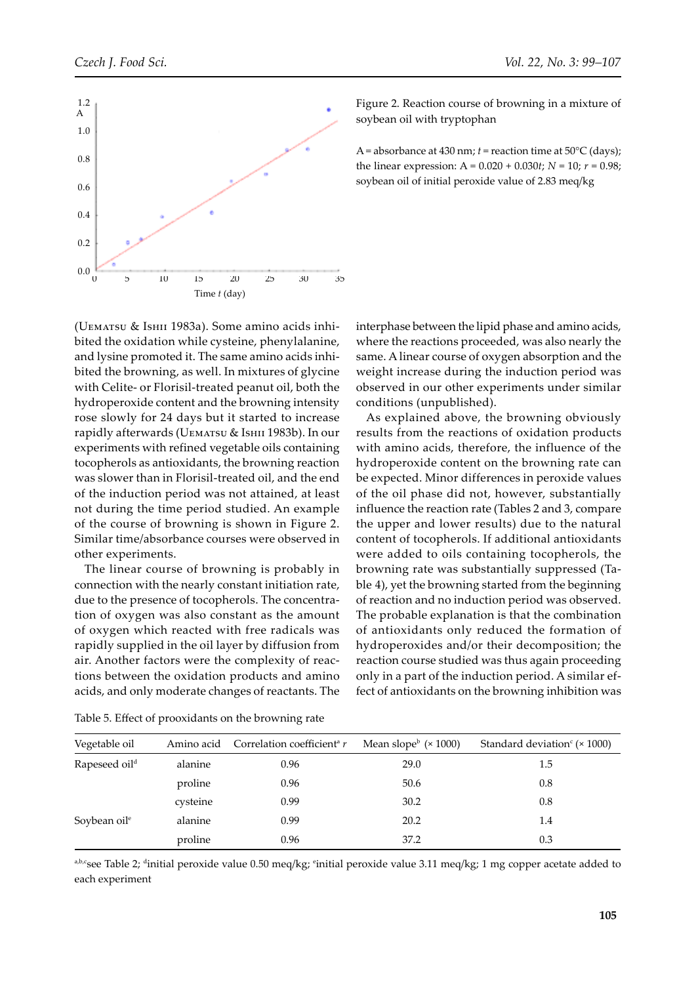

(UEMATSU & ISHII 1983a). Some amino acids inhibited the oxidation while cysteine, phenylalanine, and lysine promoted it. The same amino acids inhibited the browning, as well. In mixtures of glycine with Celite- or Florisil-treated peanut oil, both the hydroperoxide content and the browning intensity rose slowly for 24 days but it started to increase rapidly afterwards (UEMATSU & ISHII 1983b). In our experiments with refined vegetable oils containing tocopherols as antioxidants, the browning reaction was slower than in Florisil-treated oil, and the end of the induction period was not attained, at least not during the time period studied. An example of the course of browning is shown in Figure 2. Similar time/absorbance courses were observed in other experiments.

The linear course of browning is probably in connection with the nearly constant initiation rate, due to the presence of tocopherols. The concentration of oxygen was also constant as the amount of oxygen which reacted with free radicals was rapidly supplied in the oil layer by diffusion from air. Another factors were the complexity of reactions between the oxidation products and amino acids, and only moderate changes of reactants. The Figure 2. Reaction course of browning in a mixture of soybean oil with tryptophan

A = absorbance at 430 nm; *t* = reaction time at 50°C (days); the linear expression: A = 0.020 + 0.030*t*; *N* = 10; *r* = 0.98; soybean oil of initial peroxide value of 2.83 meq/kg

interphase between the lipid phase and amino acids, where the reactions proceeded, was also nearly the same. A linear course of oxygen absorption and the weight increase during the induction period was observed in our other experiments under similar conditions (unpublished).

As explained above, the browning obviously results from the reactions of oxidation products with amino acids, therefore, the influence of the hydroperoxide content on the browning rate can be expected. Minor differences in peroxide values of the oil phase did not, however, substantially influence the reaction rate (Tables 2 and 3, compare the upper and lower results) due to the natural content of tocopherols. If additional antioxidants were added to oils containing tocopherols, the browning rate was substantially suppressed (Table 4), yet the browning started from the beginning of reaction and no induction period was observed. The probable explanation is that the combination of antioxidants only reduced the formation of hydroperoxides and/or their decomposition; the reaction course studied was thus again proceeding only in a part of the induction period. A similar effect of antioxidants on the browning inhibition was

| Vegetable oil             |          | Amino acid Correlation coefficient <sup>a</sup> $r$ | Mean slope <sup>b</sup> ( $\times$ 1000) | Standard deviation $\epsilon$ ( $\times$ 1000) |
|---------------------------|----------|-----------------------------------------------------|------------------------------------------|------------------------------------------------|
| Rapeseed oil <sup>d</sup> | alanine  | 0.96                                                | 29.0                                     | 1.5                                            |
|                           | proline  | 0.96                                                | 50.6                                     | 0.8                                            |
|                           | cysteine | 0.99                                                | 30.2                                     | 0.8                                            |
| Soybean oil <sup>e</sup>  | alanine  | 0.99                                                | 20.2                                     | 1.4                                            |
|                           | proline  | 0.96                                                | 37.2                                     | 0.3                                            |

Table 5. Effect of prooxidants on the browning rate

<sup>a,b,c</sup>see Table 2; <sup>d</sup>initial peroxide value 0.50 meq/kg; <sup>e</sup>initial peroxide value 3.11 meq/kg; 1 mg copper acetate added to each experiment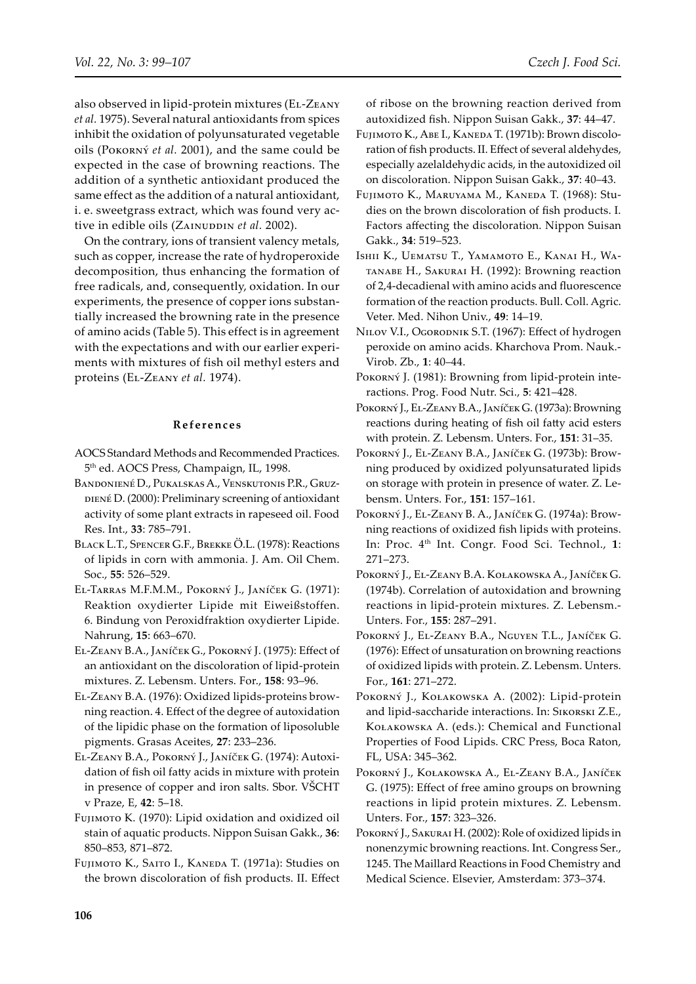also observed in lipid-protein mixtures (EL-ZEANY et al. 1975). Several natural antioxidants from spices inhibit the oxidation of polyunsaturated vegetable oils (POKORNÝ et al. 2001), and the same could be expected in the case of browning reactions. The addition of a synthetic antioxidant produced the same effect as the addition of a natural antioxidant, i. e. sweetgrass extract, which was found very active in edible oils (ZAINUDDIN et al. 2002).

On the contrary, ions of transient valency metals, such as copper, increase the rate of hydroperoxide decomposition, thus enhancing the formation of free radicals, and, consequently, oxidation. In our experiments, the presence of copper ions substantially increased the browning rate in the presence of amino acids (Table 5). This effect is in agreement with the expectations and with our earlier experiments with mixtures of fish oil methyl esters and proteins (EL-ZEANY et al. 1974).

#### References

- AOCS Standard Methods and Recommended Practices. 5<sup>th</sup> ed. AOCS Press, Champaign, IL, 1998.
- BANDONIENÉ D., PUKALSKAS A., VENSKUTONIS P.R., GRUZ-DIENÉ D. (2000): Preliminary screening of antioxidant activity of some plant extracts in rapeseed oil. Food Res. Int., 33: 785-791.
- BLACK L.T., SPENCER G.F., BREKKE Ö.L. (1978): Reactions of lipids in corn with ammonia. J. Am. Oil Chem. Soc., 55: 526-529.
- EL-TARRAS M.F.M.M., POKORNÝ J., JANÍČEK G. (1971): Reaktion oxydierter Lipide mit Eiweißstoffen. 6. Bindung von Peroxidfraktion oxydierter Lipide. Nahrung, 15: 663-670.
- EL-ZEANY B.A., JANÍČEK G., POKORNÝ J. (1975): Effect of an antioxidant on the discoloration of lipid-protein mixtures. Z. Lebensm. Unters. For., 158: 93-96.
- EL-ZEANY B.A. (1976): Oxidized lipids-proteins browning reaction. 4. Effect of the degree of autoxidation of the lipidic phase on the formation of liposoluble pigments. Grasas Aceites, 27: 233-236.
- EL-ZEANY B.A., POKORNÝ J., JANÍČEK G. (1974): Autoxidation of fish oil fatty acids in mixture with protein in presence of copper and iron salts. Sbor. VŠCHT v Praze, E, 42: 5-18.
- Fujiмото K. (1970): Lipid oxidation and oxidized oil stain of aquatic products. Nippon Suisan Gakk., 36: 850-853, 871-872.
- FUJIMOTO K., SAITO I., KANEDA T. (1971a): Studies on the brown discoloration of fish products. II. Effect

of ribose on the browning reaction derived from autoxidized fish. Nippon Suisan Gakk., 37: 44-47.

- FUJIMOTO K., ABE I., KANEDA T. (1971b): Brown discoloration of fish products. II. Effect of several aldehydes, especially azelaldehydic acids, in the autoxidized oil on discoloration. Nippon Suisan Gakk., 37: 40-43.
- FUJIMOTO K., MARUYAMA M., KANEDA T. (1968): Studies on the brown discoloration of fish products. I. Factors affecting the discoloration. Nippon Suisan Gakk., 34: 519-523.
- ISHII K., UEMATSU T., YAMAMOTO E., KANAI H., WA-TANABE H., SAKURAI H. (1992): Browning reaction of 2,4-decadienal with amino acids and fluorescence formation of the reaction products. Bull. Coll. Agric. Veter. Med. Nihon Univ., 49: 14-19.
- NILOV V.I., OGORODNIK S.T. (1967): Effect of hydrogen peroxide on amino acids. Kharchova Prom. Nauk.-Virob. Zb., 1: 40-44.
- POKORNÝ J. (1981): Browning from lipid-protein interactions. Prog. Food Nutr. Sci., 5: 421-428.
- POKORNÝ J., EL-ZEANY B.A., JANÍČEK G. (1973a): Browning reactions during heating of fish oil fatty acid esters with protein. Z. Lebensm. Unters. For., 151: 31-35.
- POKORNÝ J., EL-ZEANY B.A., JANÍČEK G. (1973b): Browning produced by oxidized polyunsaturated lipids on storage with protein in presence of water. Z. Lebensm. Unters. For., 151: 157-161.
- POKORNÝ J., EL-ZEANY B. A., JANÍČEK G. (1974a): Browning reactions of oxidized fish lipids with proteins. In: Proc. 4<sup>th</sup> Int. Congr. Food Sci. Technol., 1:  $271 - 273.$
- POKORNÝ J., EL-ZEANY B.A. KOŁAKOWSKA A., JANÍČEK G. (1974b). Correlation of autoxidation and browning reactions in lipid-protein mixtures. Z. Lebensm.-Unters. For., 155: 287-291.
- POKORNÝ J., EL-ZEANY B.A., NGUYEN T.L., JANÍČEK G. (1976): Effect of unsaturation on browning reactions of oxidized lipids with protein. Z. Lebensm. Unters. For., 161: 271-272.
- POKORNÝ J., KOŁAKOWSKA A. (2002): Lipid-protein and lipid-saccharide interactions. In: SIKORSKI Z.E., КоŁАКОWSKA A. (eds.): Chemical and Functional Properties of Food Lipids. CRC Press, Boca Raton, FL, USA: 345-362.
- POKORNÝ J., KOŁAKOWSKA A., EL-ZEANY B.A., JANÍČEK G. (1975): Effect of free amino groups on browning reactions in lipid protein mixtures. Z. Lebensm. Unters. For., 157: 323-326.
- Роковлу́ J., SAKURAI H. (2002): Role of oxidized lipids in nonenzymic browning reactions. Int. Congress Ser., 1245. The Maillard Reactions in Food Chemistry and Medical Science. Elsevier, Amsterdam: 373-374.